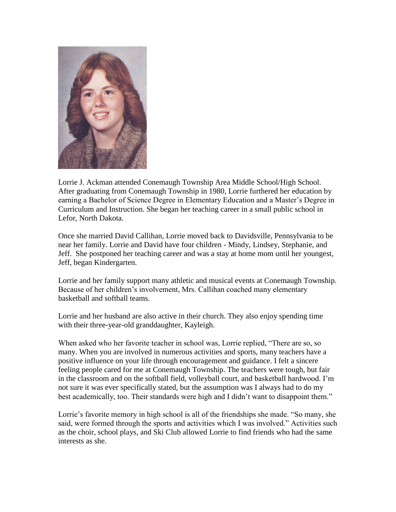

Lorrie J. Ackman attended Conemaugh Township Area Middle School/High School. After graduating from Conemaugh Township in 1980, Lorrie furthered her education by earning a Bachelor of Science Degree in Elementary Education and a Master's Degree in Curriculum and Instruction. She began her teaching career in a small public school in Lefor, North Dakota.

Once she married David Callihan, Lorrie moved back to Davidsville, Pennsylvania to be near her family. Lorrie and David have four children - Mindy, Lindsey, Stephanie, and Jeff. She postponed her teaching career and was a stay at home mom until her youngest, Jeff, began Kindergarten.

Lorrie and her family support many athletic and musical events at Conemaugh Township. Because of her children's involvement, Mrs. Callihan coached many elementary basketball and softball teams.

Lorrie and her husband are also active in their church. They also enjoy spending time with their three-year-old granddaughter, Kayleigh.

When asked who her favorite teacher in school was, Lorrie replied, "There are so, so many. When you are involved in numerous activities and sports, many teachers have a positive influence on your life through encouragement and guidance. I felt a sincere feeling people cared for me at Conemaugh Township. The teachers were tough, but fair in the classroom and on the softball field, volleyball court, and basketball hardwood. I'm not sure it was ever specifically stated, but the assumption was I always had to do my best academically, too. Their standards were high and I didn't want to disappoint them."

Lorrie's favorite memory in high school is all of the friendships she made. "So many, she said, were formed through the sports and activities which I was involved." Activities such as the choir, school plays, and Ski Club allowed Lorrie to find friends who had the same interests as she.